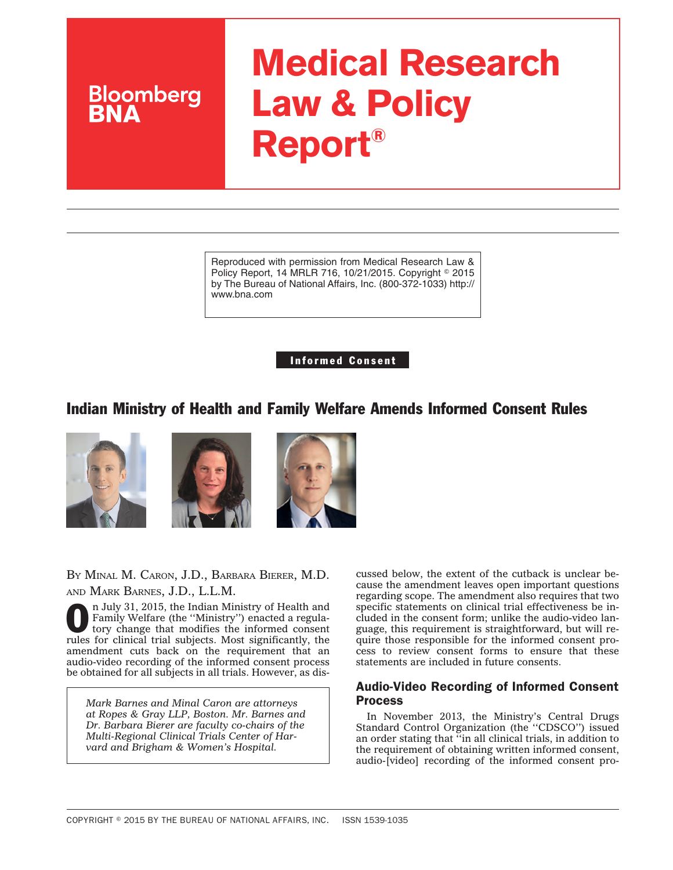# **Medical Research Law & Policy Report®**

Reproduced with permission from Medical Research Law & Policy Report, 14 MRLR 716, 10/21/2015. Copyright © 2015 by The Bureau of National Affairs, Inc. (800-372-1033) http:// www.bna.com

Informed Consent

## Indian Ministry of Health and Family Welfare Amends Informed Consent Rules



**Bloomberg** 

BY MINAL M. CARON, J.D., BARBARA BIERER, M.D. AND MARK BARNES, J.D., L.L.M.

n July 31, 2015, the Indian Ministry of Health and<br>Family Welfare (the "Ministry") enacted a regula-<br>tory change that modifies the informed consents Family Welfare (the ''Ministry'') enacted a regulatory change that modifies the informed consent rules for clinical trial subjects. Most significantly, the amendment cuts back on the requirement that an audio-video recording of the informed consent process be obtained for all subjects in all trials. However, as dis-

*Mark Barnes and Minal Caron are attorneys at Ropes & Gray LLP, Boston. Mr. Barnes and Dr. Barbara Bierer are faculty co-chairs of the Multi-Regional Clinical Trials Center of Harvard and Brigham & Women's Hospital.*

cussed below, the extent of the cutback is unclear because the amendment leaves open important questions regarding scope. The amendment also requires that two specific statements on clinical trial effectiveness be included in the consent form; unlike the audio-video language, this requirement is straightforward, but will require those responsible for the informed consent process to review consent forms to ensure that these statements are included in future consents.

### Audio-Video Recording of Informed Consent Process

In November 2013, the Ministry's Central Drugs Standard Control Organization (the ''CDSCO'') issued an order stating that ''in all clinical trials, in addition to the requirement of obtaining written informed consent, audio-[video] recording of the informed consent pro-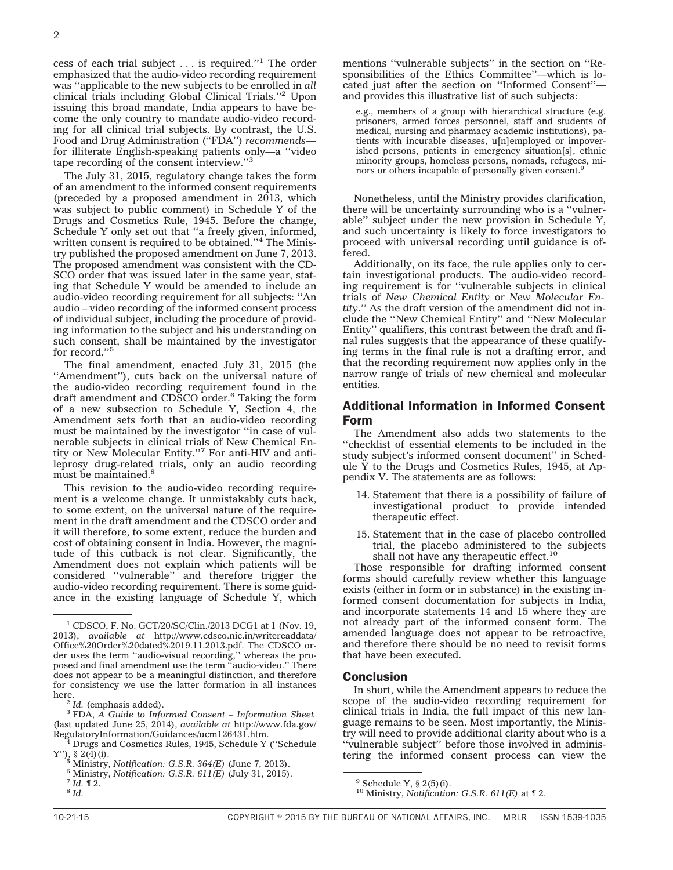cess of each trial subject . . . is required.''1 The order emphasized that the audio-video recording requirement was ''applicable to the new subjects to be enrolled in *all* clinical trials including Global Clinical Trials.''2 Upon issuing this broad mandate, India appears to have become the only country to mandate audio-video recording for all clinical trial subjects. By contrast, the U.S. Food and Drug Administration (''FDA'') *recommends* for illiterate English-speaking patients only—a ''video tape recording of the consent interview.''3

The July 31, 2015, regulatory change takes the form of an amendment to the informed consent requirements (preceded by a proposed amendment in 2013, which was subject to public comment) in Schedule Y of the Drugs and Cosmetics Rule, 1945. Before the change, Schedule Y only set out that ''a freely given, informed, written consent is required to be obtained.''4 The Ministry published the proposed amendment on June 7, 2013. The proposed amendment was consistent with the CD-SCO order that was issued later in the same year, stating that Schedule Y would be amended to include an audio-video recording requirement for all subjects: ''An audio – video recording of the informed consent process of individual subject, including the procedure of providing information to the subject and his understanding on such consent, shall be maintained by the investigator for record."<sup>5</sup>

The final amendment, enacted July 31, 2015 (the "Amendment"), cuts back on the universal nature of the audio-video recording requirement found in the draft amendment and CDSCO order.<sup>6</sup> Taking the form of a new subsection to Schedule Y, Section 4, the Amendment sets forth that an audio-video recording must be maintained by the investigator ''in case of vulnerable subjects in clinical trials of New Chemical Entity or New Molecular Entity.''7 For anti-HIV and antileprosy drug-related trials, only an audio recording must be maintained.<sup>8</sup>

This revision to the audio-video recording requirement is a welcome change. It unmistakably cuts back, to some extent, on the universal nature of the requirement in the draft amendment and the CDSCO order and it will therefore, to some extent, reduce the burden and cost of obtaining consent in India. However, the magnitude of this cutback is not clear. Significantly, the Amendment does not explain which patients will be considered ''vulnerable'' and therefore trigger the audio-video recording requirement. There is some guidance in the existing language of Schedule Y, which

mentions ''vulnerable subjects'' in the section on ''Responsibilities of the Ethics Committee''—which is located just after the section on ''Informed Consent'' and provides this illustrative list of such subjects:

e.g., members of a group with hierarchical structure (e.g. prisoners, armed forces personnel, staff and students of medical, nursing and pharmacy academic institutions), patients with incurable diseases, u[n]employed or impoverished persons, patients in emergency situation[s], ethnic minority groups, homeless persons, nomads, refugees, minors or others incapable of personally given consent.<sup>9</sup>

Nonetheless, until the Ministry provides clarification, there will be uncertainty surrounding who is a ''vulnerable'' subject under the new provision in Schedule Y, and such uncertainty is likely to force investigators to proceed with universal recording until guidance is offered.

Additionally, on its face, the rule applies only to certain investigational products. The audio-video recording requirement is for ''vulnerable subjects in clinical trials of *New Chemical Entity* or *New Molecular Entity*.'' As the draft version of the amendment did not include the ''New Chemical Entity'' and ''New Molecular Entity'' qualifiers, this contrast between the draft and final rules suggests that the appearance of these qualifying terms in the final rule is not a drafting error, and that the recording requirement now applies only in the narrow range of trials of new chemical and molecular entities.

#### Additional Information in Informed Consent Form

The Amendment also adds two statements to the ''checklist of essential elements to be included in the study subject's informed consent document'' in Schedule Y to the Drugs and Cosmetics Rules, 1945, at Appendix V. The statements are as follows:

- 14. Statement that there is a possibility of failure of investigational product to provide intended therapeutic effect.
- 15. Statement that in the case of placebo controlled trial, the placebo administered to the subjects shall not have any therapeutic effect.<sup>10</sup>

Those responsible for drafting informed consent forms should carefully review whether this language exists (either in form or in substance) in the existing informed consent documentation for subjects in India, and incorporate statements 14 and 15 where they are not already part of the informed consent form. The amended language does not appear to be retroactive, and therefore there should be no need to revisit forms that have been executed.

#### Conclusion

In short, while the Amendment appears to reduce the scope of the audio-video recording requirement for clinical trials in India, the full impact of this new language remains to be seen. Most importantly, the Ministry will need to provide additional clarity about who is a ''vulnerable subject'' before those involved in administering the informed consent process can view the

<sup>1</sup> CDSCO, F. No. GCT/20/SC/Clin./2013 DCG1 at 1 (Nov. 19, 2013), *available at* [http://www.cdsco.nic.in/writereaddata/](http://www.cdsco.nic.in/writereaddata/Office%20Order%20dated%2019.11.2013.pdf) [Office%20Order%20dated%2019.11.2013.pdf.](http://www.cdsco.nic.in/writereaddata/Office%20Order%20dated%2019.11.2013.pdf) The CDSCO order uses the term ''audio-visual recording,'' whereas the proposed and final amendment use the term ''audio-video.'' There does not appear to be a meaningful distinction, and therefore for consistency we use the latter formation in all instances

<sup>&</sup>lt;sup>2</sup> *Id.* (emphasis added). 3 FDA, *A Guide to Informed Consent – Information Sheet* (last updated June 25, 2014), *available at* [http://www.fda.gov/](http://www.fda.gov/RegulatoryInformation/Guidances/ucm126431.htm)

<sup>&</sup>lt;sup>4</sup> Drugs and Cosmetics Rules, 1945, Schedule Y ("Schedule Y"), § 2(4)(i).<br>
<sup>5</sup> Ministry Notification: G S R 364/E) (June 7, 2013)

<sup>&</sup>lt;sup>5</sup> Ministry, *Notification: G.S.R. 364(E)* (June 7, 2013).<br>
<sup>6</sup> Ministry, *Notification: G.S.R. 611(E)* (July 31, 2015).<br>
<sup>7</sup> *Id.* ¶ 2. 8 *Id.* 

 $9$  Schedule Y,  $§$  2(5)(i).

<sup>10</sup> Ministry, *Notification: G.S.R. 611(E)* at ¶ 2.